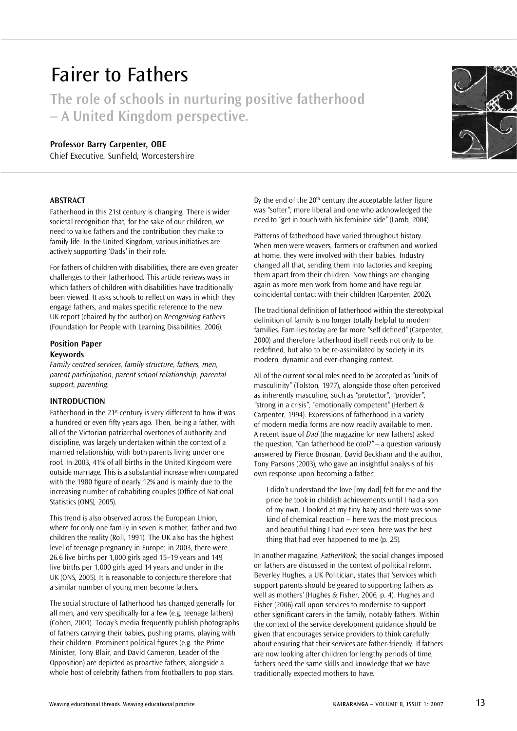# Fairer to Fathers

**The role of schools in nurturing positive fatherhood – A United Kingdom perspective.**

## **Professor Barry Carpenter, OBE**

Chief Executive, Sunfield, Worcestershire

## **ABSTRACT**

Fatherhood in this 21st century is changing. There is wider societal recognition that, for the sake of our children, we need to value fathers and the contribution they make to family life. In the United Kingdom, various initiatives are actively supporting 'Dads' in their role.

For fathers of children with disabilities, there are even greater challenges to their fatherhood. This article reviews ways in which fathers of children with disabilities have traditionally been viewed. It asks schools to reflect on ways in which they engage fathers, and makes specific reference to the new UK report (chaired by the author) on *Recognising Fathers* (Foundation for People with Learning Disabilities, 2006).

#### **Position Paper Keywords**

*Family centred services, family structure, fathers, men, parent participation, parent school relationship, parental support, parenting.*

## **INTRODUCTION**

Fatherhood in the 21<sup>st</sup> century is very different to how it was a hundred or even fifty years ago. Then, being a father, with all of the Victorian patriarchal overtones of authority and discipline, was largely undertaken within the context of a married relationship, with both parents living under one roof. In 2003, 41% of all births in the United Kingdom were outside marriage. This is a substantial increase when compared with the 1980 figure of nearly 12% and is mainly due to the increasing number of cohabiting couples (Office of National Statistics (ONS), 2005).

This trend is also observed across the European Union, where for only one family in seven is mother, father and two children the reality (Roll, 1991). The UK also has the highest level of teenage pregnancy in Europe; in 2003, there were 26.6 live births per 1,000 girls aged 15–19 years and 149 live births per 1,000 girls aged 14 years and under in the UK (ONS, 2005). It is reasonable to conjecture therefore that a similar number of young men become fathers.

The social structure of fatherhood has changed generally for all men, and very specifically for a few (e.g. teenage fathers) (Cohen, 2001). Today's media frequently publish photographs of fathers carrying their babies, pushing prams, playing with their children. Prominent political figures (e.g. the Prime Minister, Tony Blair, and David Cameron, Leader of the Opposition) are depicted as proactive fathers, alongside a whole host of celebrity fathers from footballers to pop stars.

By the end of the  $20<sup>th</sup>$  century the acceptable father figure was "softer", more liberal and one who acknowledged the need to "get in touch with his feminine side" (Lamb, 2004).

Patterns of fatherhood have varied throughout history. When men were weavers, farmers or craftsmen and worked at home, they were involved with their babies. Industry changed all that, sending them into factories and keeping them apart from their children. Now things are changing again as more men work from home and have regular coincidental contact with their children (Carpenter, 2002).

The traditional definition of fatherhood within the stereotypical definition of family is no longer totally helpful to modern families. Families today are far more "self defined" (Carpenter, 2000) and therefore fatherhood itself needs not only to be redefined, but also to be re-assimilated by society in its modern, dynamic and ever-changing context.

All of the current social roles need to be accepted as "units of masculinity" (Tolston, 1977), alongside those often perceived as inherently masculine, such as "protector", "provider", "strong in a crisis", "emotionally competent" (Herbert & Carpenter, 1994). Expressions of fatherhood in a variety of modern media forms are now readily available to men. A recent issue of *Dad* (the magazine for new fathers) asked the question, "Can fatherhood be cool?" – a question variously answered by Pierce Brosnan, David Beckham and the author, Tony Parsons (2003), who gave an insightful analysis of his own response upon becoming a father:

I didn't understand the love [my dad] felt for me and the pride he took in childish achievements until I had a son of my own. I looked at my tiny baby and there was some kind of chemical reaction – here was the most precious and beautiful thing I had ever seen, here was the best thing that had ever happened to me (p. 25).

In another magazine, *FatherWork,* the social changes imposed on fathers are discussed in the context of political reform. Beverley Hughes, a UK Politician, states that 'services which support parents should be geared to supporting fathers as well as mothers' (Hughes & Fisher, 2006, p. 4). Hughes and Fisher (2006) call upon services to modernise to support other significant carers in the family, notably fathers. Within the context of the service development guidance should be given that encourages service providers to think carefully about ensuring that their services are father-friendly. If fathers are now looking after children for lengthy periods of time, fathers need the same skills and knowledge that we have traditionally expected mothers to have.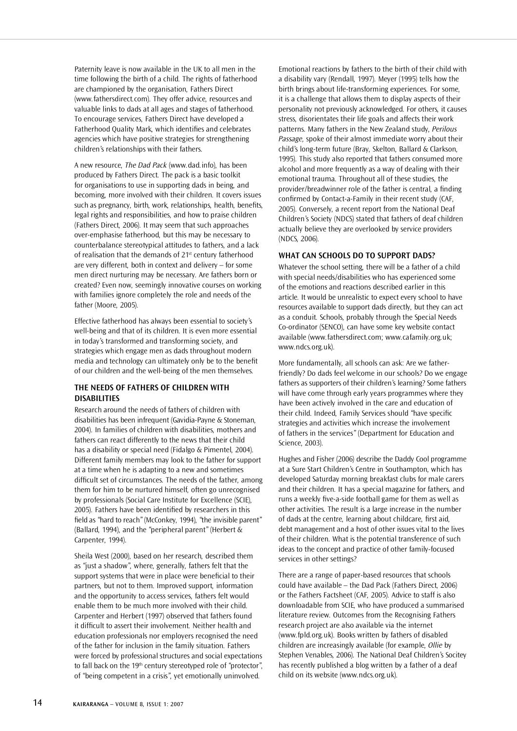Paternity leave is now available in the UK to all men in the time following the birth of a child. The rights of fatherhood are championed by the organisation, Fathers Direct (www.fathersdirect.com). They offer advice, resources and valuable links to dads at all ages and stages of fatherhood. To encourage services, Fathers Direct have developed a Fatherhood Quality Mark, which identifies and celebrates agencies which have positive strategies for strengthening children's relationships with their fathers.

A new resource, *The Dad Pack* (www.dad.info), has been produced by Fathers Direct. The pack is a basic toolkit for organisations to use in supporting dads in being, and becoming, more involved with their children. It covers issues such as pregnancy, birth, work, relationships, health, benefits, legal rights and responsibilities, and how to praise children (Fathers Direct, 2006). It may seem that such approaches over-emphasise fatherhood, but this may be necessary to counterbalance stereotypical attitudes to fathers, and a lack of realisation that the demands of 21<sup>st</sup> century fatherhood are very different, both in context and delivery – for some men direct nurturing may be necessary. Are fathers born or created? Even now, seemingly innovative courses on working with families ignore completely the role and needs of the father (Moore, 2005).

Effective fatherhood has always been essential to society's well-being and that of its children. It is even more essential in today's transformed and transforming society, and strategies which engage men as dads throughout modern media and technology can ultimately only be to the benefit of our children and the well-being of the men themselves.

# **THE NEEDS OF FATHERS OF CHILDREN WITH DISABILITIES**

Research around the needs of fathers of children with disabilities has been infrequent (Gavidia-Payne & Stoneman, 2004). In families of children with disabilities, mothers and fathers can react differently to the news that their child has a disability or special need (Fidalgo & Pimentel, 2004). Different family members may look to the father for support at a time when he is adapting to a new and sometimes difficult set of circumstances. The needs of the father, among them for him to be nurtured himself, often go unrecognised by professionals (Social Care Institute for Excellence (SCIE), 2005). Fathers have been identified by researchers in this field as "hard to reach" (McConkey, 1994), "the invisible parent" (Ballard, 1994), and the "peripheral parent" (Herbert & Carpenter, 1994).

Sheila West (2000), based on her research, described them as "just a shadow", where, generally, fathers felt that the support systems that were in place were beneficial to their partners, but not to them. Improved support, information and the opportunity to access services, fathers felt would enable them to be much more involved with their child. Carpenter and Herbert (1997) observed that fathers found it difficult to assert their involvement. Neither health and education professionals nor employers recognised the need of the father for inclusion in the family situation. Fathers were forced by professional structures and social expectations to fall back on the 19<sup>th</sup> century stereotyped role of "protector", of "being competent in a crisis", yet emotionally uninvolved.

Emotional reactions by fathers to the birth of their child with a disability vary (Rendall, 1997). Meyer (1995) tells how the birth brings about life-transforming experiences. For some, it is a challenge that allows them to display aspects of their personality not previously acknowledged. For others, it causes stress, disorientates their life goals and affects their work patterns. Many fathers in the New Zealand study, *Perilous Passage,* spoke of their almost immediate worry about their child's long-term future (Bray, Skelton, Ballard & Clarkson, 1995). This study also reported that fathers consumed more alcohol and more frequently as a way of dealing with their emotional trauma. Throughout all of these studies, the provider/breadwinner role of the father is central, a finding confirmed by Contact-a-Family in their recent study (CAF, 2005). Conversely, a recent report from the National Deaf Children's Society (NDCS) stated that fathers of deaf children actually believe they are overlooked by service providers (NDCS, 2006).

## **WHAT CAN SCHOOLS DO TO SUPPORT DADS?**

Whatever the school setting, there will be a father of a child with special needs/disabilities who has experienced some of the emotions and reactions described earlier in this article. It would be unrealistic to expect every school to have resources available to support dads directly, but they can act as a conduit. Schools, probably through the Special Needs Co-ordinator (SENCO), can have some key website contact available (www.fathersdirect.com; www.cafamily.org.uk; www.ndcs.org.uk).

More fundamentally, all schools can ask: Are we fatherfriendly? Do dads feel welcome in our schools? Do we engage fathers as supporters of their children's learning? Some fathers will have come through early years programmes where they have been actively involved in the care and education of their child. Indeed, Family Services should "have specific strategies and activities which increase the involvement of fathers in the services" (Department for Education and Science, 2003).

Hughes and Fisher (2006) describe the Daddy Cool programme at a Sure Start Children's Centre in Southampton, which has developed Saturday morning breakfast clubs for male carers and their children. It has a special magazine for fathers, and runs a weekly five-a-side football game for them as well as other activities. The result is a large increase in the number of dads at the centre, learning about childcare, first aid, debt management and a host of other issues vital to the lives of their children. What is the potential transference of such ideas to the concept and practice of other family-focused services in other settings?

There are a range of paper-based resources that schools could have available – the Dad Pack (Fathers Direct, 2006) or the Fathers Factsheet (CAF, 2005). Advice to staff is also downloadable from SCIE, who have produced a summarised literature review. Outcomes from the Recognising Fathers research project are also available via the internet (www.fpld.org.uk). Books written by fathers of disabled children are increasingly available (for example, *Ollie* by Stephen Venables, 2006). The National Deaf Children's Socitey has recently published a blog written by a father of a deaf child on its website (www.ndcs.org.uk).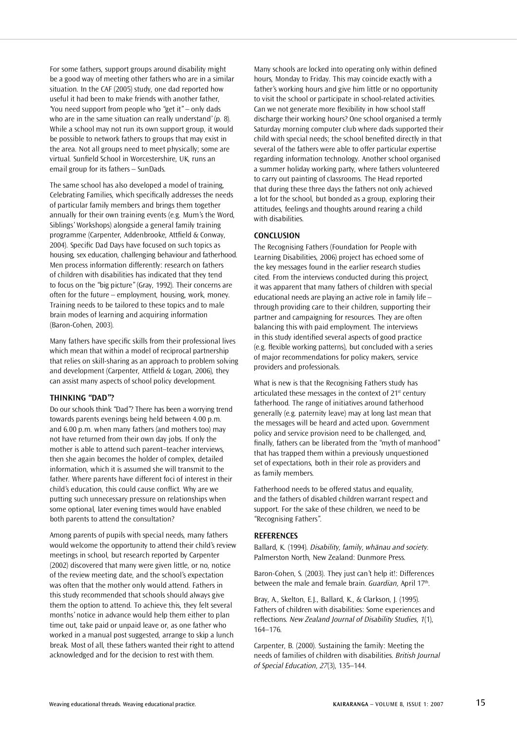For some fathers, support groups around disability might be a good way of meeting other fathers who are in a similar situation. In the CAF (2005) study, one dad reported how useful it had been to make friends with another father, 'You need support from people who "get it" – only dads who are in the same situation can really understand' (p. 8). While a school may not run its own support group, it would be possible to network fathers to groups that may exist in the area. Not all groups need to meet physically; some are virtual. Sunfield School in Worcestershire, UK, runs an email group for its fathers – SunDads.

The same school has also developed a model of training, Celebrating Families, which specifically addresses the needs of particular family members and brings them together annually for their own training events (e.g. Mum's the Word, Siblings' Workshops) alongside a general family training programme (Carpenter, Addenbrooke, Attfield & Conway, 2004). Specific Dad Days have focused on such topics as housing, sex education, challenging behaviour and fatherhood. Men process information differently: research on fathers of children with disabilities has indicated that they tend to focus on the "big picture" (Gray, 1992). Their concerns are often for the future – employment, housing, work, money. Training needs to be tailored to these topics and to male brain modes of learning and acquiring information (Baron-Cohen, 2003).

Many fathers have specific skills from their professional lives which mean that within a model of reciprocal partnership that relies on skill-sharing as an approach to problem solving and development (Carpenter, Attfield & Logan, 2006), they can assist many aspects of school policy development.

### **THINKING "DAD"?**

Do our schools think "Dad"? There has been a worrying trend towards parents evenings being held between 4.00 p.m. and 6.00 p.m. when many fathers (and mothers too) may not have returned from their own day jobs. If only the mother is able to attend such parent–teacher interviews, then she again becomes the holder of complex, detailed information, which it is assumed she will transmit to the father. Where parents have different foci of interest in their child's education, this could cause conflict. Why are we putting such unnecessary pressure on relationships when some optional, later evening times would have enabled both parents to attend the consultation?

Among parents of pupils with special needs, many fathers would welcome the opportunity to attend their child's review meetings in school, but research reported by Carpenter (2002) discovered that many were given little, or no, notice of the review meeting date, and the school's expectation was often that the mother only would attend. Fathers in this study recommended that schools should always give them the option to attend. To achieve this, they felt several months' notice in advance would help them either to plan time out, take paid or unpaid leave or, as one father who worked in a manual post suggested, arrange to skip a lunch break. Most of all, these fathers wanted their right to attend acknowledged and for the decision to rest with them.

Many schools are locked into operating only within defined hours, Monday to Friday. This may coincide exactly with a father's working hours and give him little or no opportunity to visit the school or participate in school-related activities. Can we not generate more flexibility in how school staff discharge their working hours? One school organised a termly Saturday morning computer club where dads supported their child with special needs; the school benefited directly in that several of the fathers were able to offer particular expertise regarding information technology. Another school organised a summer holiday working party, where fathers volunteered to carry out painting of classrooms. The Head reported that during these three days the fathers not only achieved a lot for the school, but bonded as a group, exploring their attitudes, feelings and thoughts around rearing a child with disabilities.

#### **CONCLUSION**

The Recognising Fathers (Foundation for People with Learning Disabilities, 2006) project has echoed some of the key messages found in the earlier research studies cited. From the interviews conducted during this project, it was apparent that many fathers of children with special educational needs are playing an active role in family life – through providing care to their children, supporting their partner and campaigning for resources. They are often balancing this with paid employment. The interviews in this study identified several aspects of good practice (e.g. flexible working patterns), but concluded with a series of major recommendations for policy makers, service providers and professionals.

What is new is that the Recognising Fathers study has articulated these messages in the context of 21st century fatherhood. The range of initiatives around fatherhood generally (e.g. paternity leave) may at long last mean that the messages will be heard and acted upon. Government policy and service provision need to be challenged, and, finally, fathers can be liberated from the "myth of manhood" that has trapped them within a previously unquestioned set of expectations, both in their role as providers and as family members.

Fatherhood needs to be offered status and equality, and the fathers of disabled children warrant respect and support. For the sake of these children, we need to be "Recognising Fathers".

#### **REFERENCES**

Ballard, K. (1994). *Disability, family, whänau and society.* Palmerston North, New Zealand: Dunmore Press.

Baron-Cohen, S. (2003). They just can't help it!: Differences between the male and female brain. *Guardian*, April 17<sup>th</sup>.

Bray, A., Skelton, E.J., Ballard, K., & Clarkson, J. (1995). Fathers of children with disabilities: Some experiences and reflections. *New Zealand Journal of Disability Studies, 1*(1), 164–176.

Carpenter, B. (2000). Sustaining the family: Meeting the needs of families of children with disabilities. *British Journal of Special Education, 27*(3), 135–144.